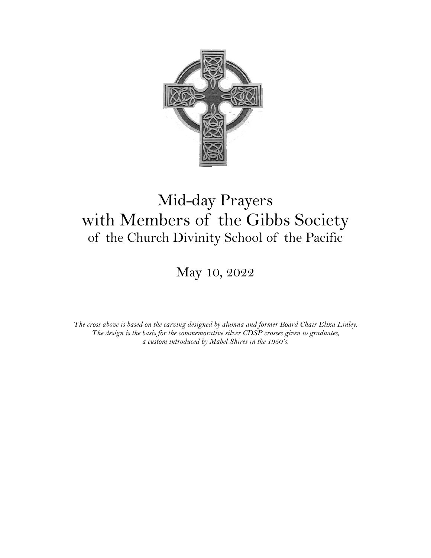

# Mid-day Prayers with Members of the Gibbs Society of the Church Divinity School of the Pacific

May 10, 2022

*The cross above is based on the carving designed by alumna and former Board Chair Eliza Linley. The design is the basis for the commemorative silver CDSP crosses given to graduates, a custom introduced by Mabel Shires in the 1950's.*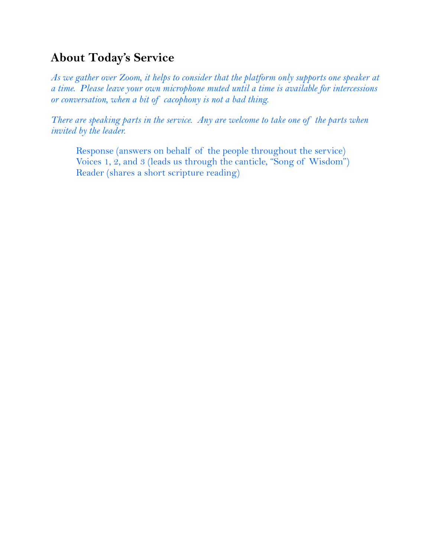# **About Today's Service**

*As we gather over Zoom, it helps to consider that the platform only supports one speaker at a time. Please leave your own microphone muted until a time is available for intercessions or conversation, when a bit of cacophony is not a bad thing.*

*There are speaking parts in the service. Any are welcome to take one of the parts when invited by the leader.*

Response (answers on behalf of the people throughout the service) Voices 1, 2, and 3 (leads us through the canticle, "Song of Wisdom") Reader (shares a short scripture reading)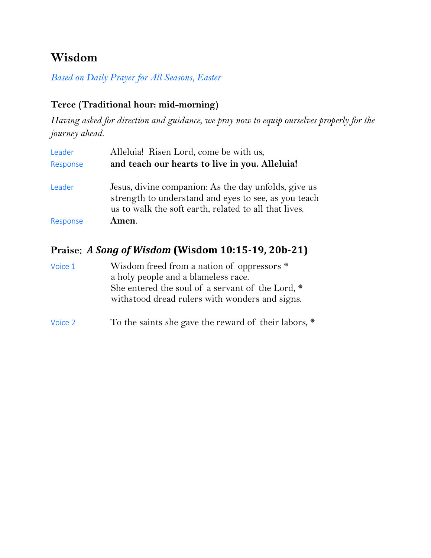# **Wisdom**

*Based on Daily Prayer for All Seasons, Easter*

## **Terce (Traditional hour: mid-morning)**

*Having asked for direction and guidance, we pray now to equip ourselves properly for the journey ahead.*

| Leader   | Alleluia! Risen Lord, come be with us,                                                                                                                                |
|----------|-----------------------------------------------------------------------------------------------------------------------------------------------------------------------|
| Response | and teach our hearts to live in you. Alleluia!                                                                                                                        |
| Leader   | Jesus, divine companion: As the day unfolds, give us<br>strength to understand and eyes to see, as you teach<br>us to walk the soft earth, related to all that lives. |
| Response | Amen.                                                                                                                                                                 |

## Praise: *A Song of Wisdom* (Wisdom 10:15-19, 20b-21)

| Voice 1 | Wisdom freed from a nation of oppressors *       |
|---------|--------------------------------------------------|
|         | a holy people and a blameless race.              |
|         | She entered the soul of a servant of the Lord, * |
|         | withstood dread rulers with wonders and signs.   |
|         |                                                  |

# Voice 2 To the saints she gave the reward of their labors,  $*$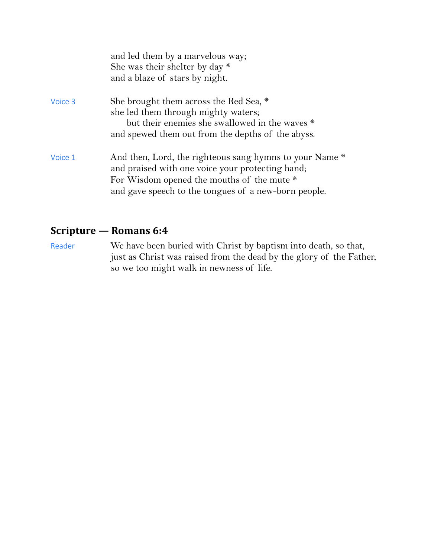|         | and led them by a marvelous way;<br>She was their shelter by day $*$<br>and a blaze of stars by night.                                                                                                            |
|---------|-------------------------------------------------------------------------------------------------------------------------------------------------------------------------------------------------------------------|
| Voice 3 | She brought them across the Red Sea, *<br>she led them through mighty waters;<br>but their enemies she swallowed in the waves *<br>and spewed them out from the depths of the abyss.                              |
| Voice 1 | And then, Lord, the righteous sang hymns to your Name *<br>and praised with one voice your protecting hand;<br>For Wisdom opened the mouths of the mute *<br>and gave speech to the tongues of a new-born people. |

# **Scripture — Romans 6:4**

Reader We have been buried with Christ by baptism into death, so that, just as Christ was raised from the dead by the glory of the Father, so we too might walk in newness of life.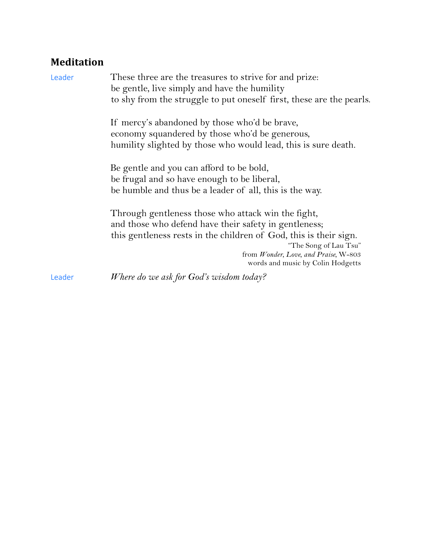# **Meditation**

| Leader | These three are the treasures to strive for and prize:<br>be gentle, live simply and have the humility |
|--------|--------------------------------------------------------------------------------------------------------|
|        | to shy from the struggle to put oneself first, these are the pearls.                                   |
|        | If mercy's abandoned by those who'd be brave,                                                          |
|        | economy squandered by those who'd be generous,                                                         |
|        | humility slighted by those who would lead, this is sure death.                                         |
|        | Be gentle and you can afford to be bold,                                                               |
|        | be frugal and so have enough to be liberal,                                                            |
|        | be humble and thus be a leader of all, this is the way.                                                |
|        | Through gentleness those who attack win the fight,                                                     |
|        | and those who defend have their safety in gentleness;                                                  |
|        | this gentleness rests in the children of God, this is their sign.                                      |
|        | "The Song of Lau Tsu"                                                                                  |
|        | from Wonder, Love, and Praise, W-803<br>words and music by Colin Hodgetts                              |
| Leader | Where do we ask for God's wisdom today?                                                                |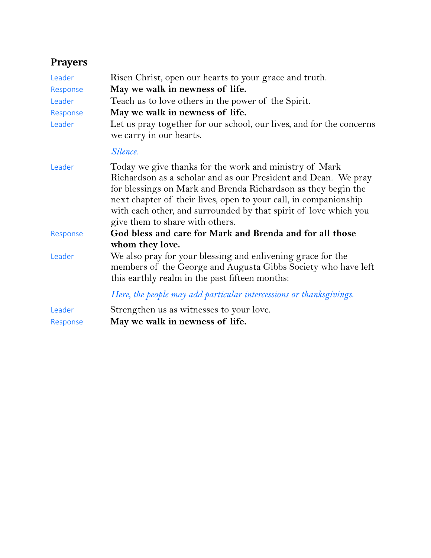# **Prayers**

| Leader             | Risen Christ, open our hearts to your grace and truth.                                                                                                                                                                                                                                                                                                               |
|--------------------|----------------------------------------------------------------------------------------------------------------------------------------------------------------------------------------------------------------------------------------------------------------------------------------------------------------------------------------------------------------------|
| Response           | May we walk in newness of life.                                                                                                                                                                                                                                                                                                                                      |
| Leader             | Teach us to love others in the power of the Spirit.                                                                                                                                                                                                                                                                                                                  |
| Response           | May we walk in newness of life.                                                                                                                                                                                                                                                                                                                                      |
| Leader             | Let us pray together for our school, our lives, and for the concerns<br>we carry in our hearts.                                                                                                                                                                                                                                                                      |
|                    | Silence.                                                                                                                                                                                                                                                                                                                                                             |
| Leader             | Today we give thanks for the work and ministry of Mark<br>Richardson as a scholar and as our President and Dean. We pray<br>for blessings on Mark and Brenda Richardson as they begin the<br>next chapter of their lives, open to your call, in companionship<br>with each other, and surrounded by that spirit of love which you<br>give them to share with others. |
| Response           | God bless and care for Mark and Brenda and for all those<br>whom they love.                                                                                                                                                                                                                                                                                          |
| Leader             | We also pray for your blessing and enlivening grace for the<br>members of the George and Augusta Gibbs Society who have left<br>this earthly realm in the past fifteen months:                                                                                                                                                                                       |
|                    | Here, the people may add particular intercessions or thanksgivings.                                                                                                                                                                                                                                                                                                  |
| Leader<br>Response | Strengthen us as witnesses to your love.<br>May we walk in newness of life.                                                                                                                                                                                                                                                                                          |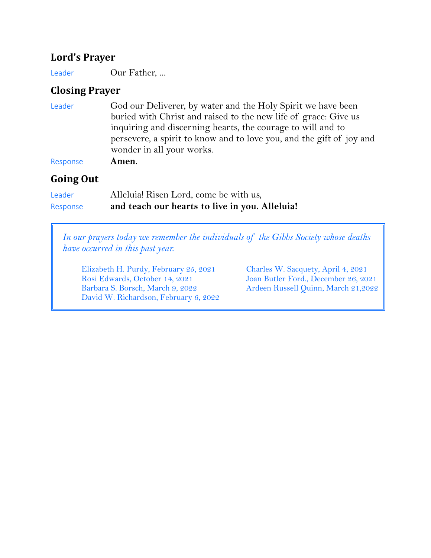#### **Lord's Prayer**

Leader Our Father, ...

### **Closing Prayer**

| Leader | God our Deliverer, by water and the Holy Spirit we have been         |
|--------|----------------------------------------------------------------------|
|        | buried with Christ and raised to the new life of grace: Give us      |
|        | inquiring and discerning hearts, the courage to will and to          |
|        | persevere, a spirit to know and to love you, and the gift of joy and |
|        | wonder in all your works.                                            |
|        |                                                                      |

Response **Amen**.

#### Going Out

| Leader   | Alleluia! Risen Lord, come be with us,         |
|----------|------------------------------------------------|
| Response | and teach our hearts to live in you. Alleluia! |

*In our prayers today we remember the individuals of the Gibbs Society whose deaths have occurred in this past year.*

Elizabeth H. Purdy, February 25, 2021 Charles W. Sacquety, April 4, 2021 Rosi Edwards, October 14, 2021 Joan Butler Ford., December 26, 2021 Barbara S. Borsch, March 9, 2022 Ardeen Russell Quinn, March 21,2022 David W. Richardson, February 6, 2022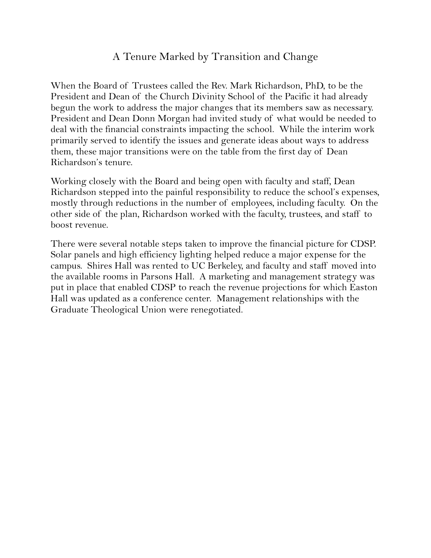### A Tenure Marked by Transition and Change

When the Board of Trustees called the Rev. Mark Richardson, PhD, to be the President and Dean of the Church Divinity School of the Pacific it had already begun the work to address the major changes that its members saw as necessary. President and Dean Donn Morgan had invited study of what would be needed to deal with the financial constraints impacting the school. While the interim work primarily served to identify the issues and generate ideas about ways to address them, these major transitions were on the table from the first day of Dean Richardson's tenure.

Working closely with the Board and being open with faculty and staff, Dean Richardson stepped into the painful responsibility to reduce the school's expenses, mostly through reductions in the number of employees, including faculty. On the other side of the plan, Richardson worked with the faculty, trustees, and staff to boost revenue.

There were several notable steps taken to improve the financial picture for CDSP. Solar panels and high efficiency lighting helped reduce a major expense for the campus. Shires Hall was rented to UC Berkeley, and faculty and staff moved into the available rooms in Parsons Hall. A marketing and management strategy was put in place that enabled CDSP to reach the revenue projections for which Easton Hall was updated as a conference center. Management relationships with the Graduate Theological Union were renegotiated.